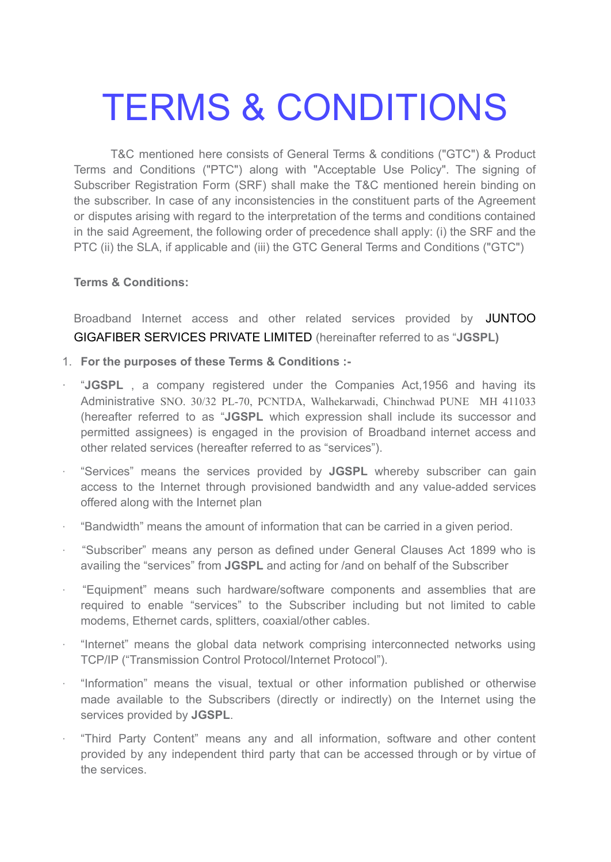# TERMS & CONDITIONS

T&C mentioned here consists of General Terms & conditions ("GTC") & Product Terms and Conditions ("PTC") along with "Acceptable Use Policy". The signing of Subscriber Registration Form (SRF) shall make the T&C mentioned herein binding on the subscriber. In case of any inconsistencies in the constituent parts of the Agreement or disputes arising with regard to the interpretation of the terms and conditions contained in the said Agreement, the following order of precedence shall apply: (i) the SRF and the PTC (ii) the SLA, if applicable and (iii) the GTC General Terms and Conditions ("GTC")

### **Terms & Conditions:**

Broadband Internet access and other related services provided by JUNTOO GIGAFIBER SERVICES PRIVATE LIMITED (hereinafter referred to as "**JGSPL)**

- 1. **For the purposes of these Terms & Conditions :-**
- · "**JGSPL** , a company registered under the Companies Act,1956 and having its Administrative SNO. 30/32 PL-70, PCNTDA, Walhekarwadi, Chinchwad PUNE MH 411033 (hereafter referred to as "**JGSPL** which expression shall include its successor and permitted assignees) is engaged in the provision of Broadband internet access and other related services (hereafter referred to as "services").
- · "Services" means the services provided by **JGSPL** whereby subscriber can gain access to the Internet through provisioned bandwidth and any value-added services offered along with the Internet plan
- · "Bandwidth" means the amount of information that can be carried in a given period.
- · "Subscriber" means any person as defined under General Clauses Act 1899 who is availing the "services" from **JGSPL** and acting for /and on behalf of the Subscriber
- · "Equipment" means such hardware/software components and assemblies that are required to enable "services" to the Subscriber including but not limited to cable modems, Ethernet cards, splitters, coaxial/other cables.
- · "Internet" means the global data network comprising interconnected networks using TCP/IP ("Transmission Control Protocol/Internet Protocol").
- · "Information" means the visual, textual or other information published or otherwise made available to the Subscribers (directly or indirectly) on the Internet using the services provided by **JGSPL**.
- · "Third Party Content" means any and all information, software and other content provided by any independent third party that can be accessed through or by virtue of the services.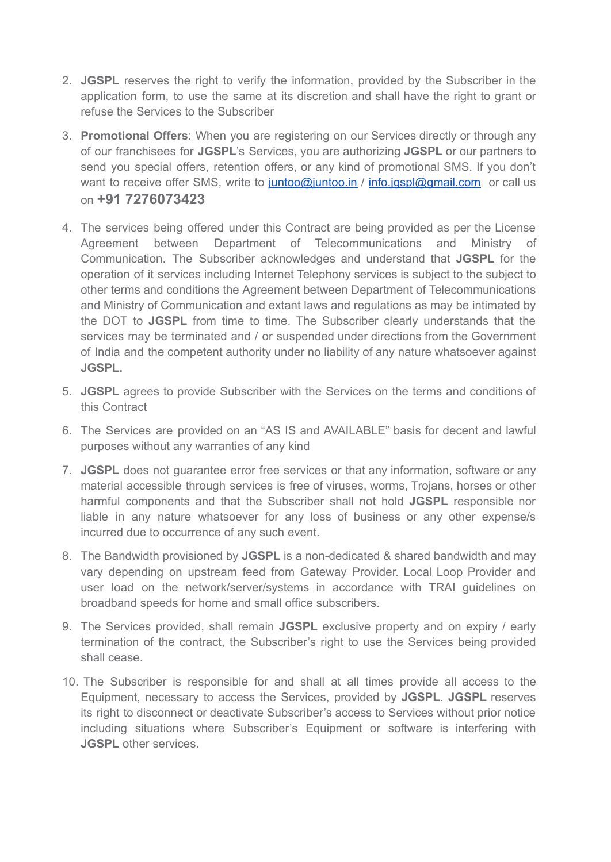- 2. **JGSPL** reserves the right to verify the information, provided by the Subscriber in the application form, to use the same at its discretion and shall have the right to grant or refuse the Services to the Subscriber
- 3. **Promotional Offers**: When you are registering on our Services directly or through any of our franchisees for **JGSPL**'s Services, you are authorizing **JGSPL** or our partners to send you special offers, retention offers, or any kind of promotional SMS. If you don't want to receive offer SMS, write to [juntoo@juntoo.in](mailto:juntoo@juntoo.in) / [info.jgspl@gmail.com](mailto:info.jgspl@gmail.com) or call us on **+91 7276073423**
- 4. The services being offered under this Contract are being provided as per the License Agreement between Department of Telecommunications and Ministry of Communication. The Subscriber acknowledges and understand that **JGSPL** for the operation of it services including Internet Telephony services is subject to the subject to other terms and conditions the Agreement between Department of Telecommunications and Ministry of Communication and extant laws and regulations as may be intimated by the DOT to **JGSPL** from time to time. The Subscriber clearly understands that the services may be terminated and / or suspended under directions from the Government of India and the competent authority under no liability of any nature whatsoever against **JGSPL.**
- 5. **JGSPL** agrees to provide Subscriber with the Services on the terms and conditions of this Contract
- 6. The Services are provided on an "AS IS and AVAILABLE" basis for decent and lawful purposes without any warranties of any kind
- 7. **JGSPL** does not guarantee error free services or that any information, software or any material accessible through services is free of viruses, worms, Trojans, horses or other harmful components and that the Subscriber shall not hold **JGSPL** responsible nor liable in any nature whatsoever for any loss of business or any other expense/s incurred due to occurrence of any such event.
- 8. The Bandwidth provisioned by **JGSPL** is a non-dedicated & shared bandwidth and may vary depending on upstream feed from Gateway Provider. Local Loop Provider and user load on the network/server/systems in accordance with TRAI guidelines on broadband speeds for home and small office subscribers.
- 9. The Services provided, shall remain **JGSPL** exclusive property and on expiry / early termination of the contract, the Subscriber's right to use the Services being provided shall cease.
- 10. The Subscriber is responsible for and shall at all times provide all access to the Equipment, necessary to access the Services, provided by **JGSPL**. **JGSPL** reserves its right to disconnect or deactivate Subscriber's access to Services without prior notice including situations where Subscriber's Equipment or software is interfering with **JGSPL** other services.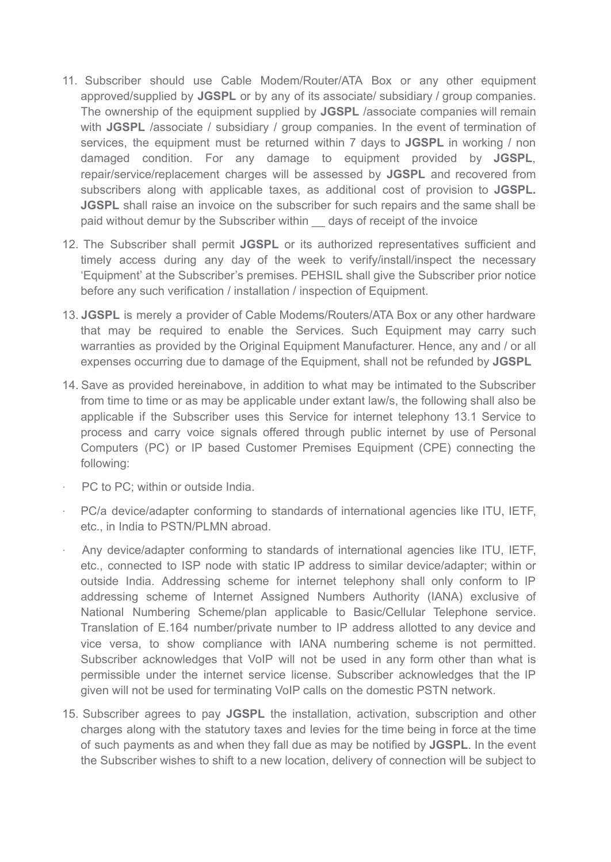- 11. Subscriber should use Cable Modem/Router/ATA Box or any other equipment approved/supplied by **JGSPL** or by any of its associate/ subsidiary / group companies. The ownership of the equipment supplied by **JGSPL** /associate companies will remain with JGSPL /associate / subsidiary / group companies. In the event of termination of services, the equipment must be returned within 7 days to **JGSPL** in working / non damaged condition. For any damage to equipment provided by **JGSPL**, repair/service/replacement charges will be assessed by **JGSPL** and recovered from subscribers along with applicable taxes, as additional cost of provision to **JGSPL. JGSPL** shall raise an invoice on the subscriber for such repairs and the same shall be paid without demur by the Subscriber within days of receipt of the invoice
- 12. The Subscriber shall permit **JGSPL** or its authorized representatives sufficient and timely access during any day of the week to verify/install/inspect the necessary 'Equipment' at the Subscriber's premises. PEHSIL shall give the Subscriber prior notice before any such verification / installation / inspection of Equipment.
- 13. **JGSPL** is merely a provider of Cable Modems/Routers/ATA Box or any other hardware that may be required to enable the Services. Such Equipment may carry such warranties as provided by the Original Equipment Manufacturer. Hence, any and / or all expenses occurring due to damage of the Equipment, shall not be refunded by **JGSPL**
- 14. Save as provided hereinabove, in addition to what may be intimated to the Subscriber from time to time or as may be applicable under extant law/s, the following shall also be applicable if the Subscriber uses this Service for internet telephony 13.1 Service to process and carry voice signals offered through public internet by use of Personal Computers (PC) or IP based Customer Premises Equipment (CPE) connecting the following:
- PC to PC; within or outside India.
- · PC/a device/adapter conforming to standards of international agencies like ITU, IETF, etc., in India to PSTN/PLMN abroad.
- · Any device/adapter conforming to standards of international agencies like ITU, IETF, etc., connected to ISP node with static IP address to similar device/adapter; within or outside India. Addressing scheme for internet telephony shall only conform to IP addressing scheme of Internet Assigned Numbers Authority (IANA) exclusive of National Numbering Scheme/plan applicable to Basic/Cellular Telephone service. Translation of E.164 number/private number to IP address allotted to any device and vice versa, to show compliance with IANA numbering scheme is not permitted. Subscriber acknowledges that VoIP will not be used in any form other than what is permissible under the internet service license. Subscriber acknowledges that the IP given will not be used for terminating VoIP calls on the domestic PSTN network.
- 15. Subscriber agrees to pay **JGSPL** the installation, activation, subscription and other charges along with the statutory taxes and levies for the time being in force at the time of such payments as and when they fall due as may be notified by **JGSPL**. In the event the Subscriber wishes to shift to a new location, delivery of connection will be subject to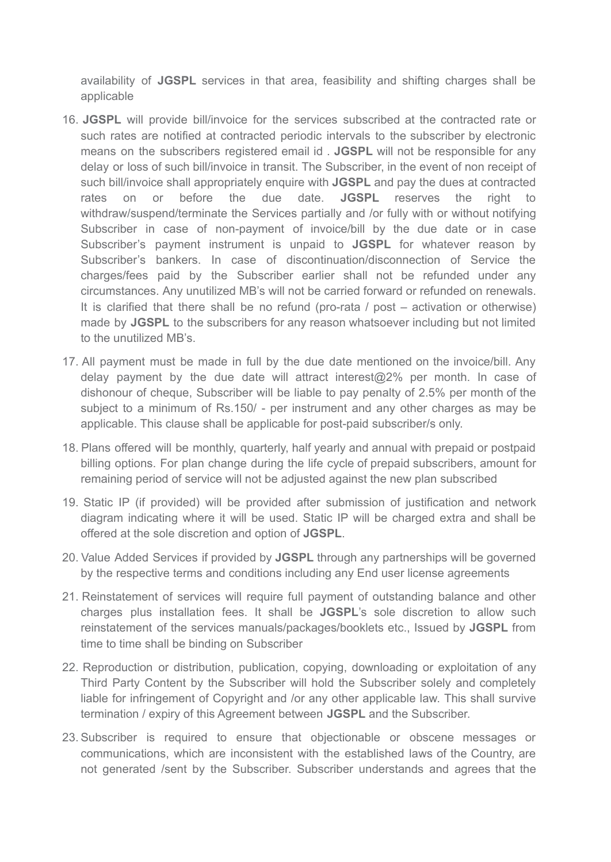availability of **JGSPL** services in that area, feasibility and shifting charges shall be applicable

- 16. **JGSPL** will provide bill/invoice for the services subscribed at the contracted rate or such rates are notified at contracted periodic intervals to the subscriber by electronic means on the subscribers registered email id . **JGSPL** will not be responsible for any delay or loss of such bill/invoice in transit. The Subscriber, in the event of non receipt of such bill/invoice shall appropriately enquire with **JGSPL** and pay the dues at contracted rates on or before the due date. **JGSPL** reserves the right to withdraw/suspend/terminate the Services partially and /or fully with or without notifying Subscriber in case of non-payment of invoice/bill by the due date or in case Subscriber's payment instrument is unpaid to **JGSPL** for whatever reason by Subscriber's bankers. In case of discontinuation/disconnection of Service the charges/fees paid by the Subscriber earlier shall not be refunded under any circumstances. Any unutilized MB's will not be carried forward or refunded on renewals. It is clarified that there shall be no refund (pro-rata / post – activation or otherwise) made by **JGSPL** to the subscribers for any reason whatsoever including but not limited to the unutilized MB's.
- 17. All payment must be made in full by the due date mentioned on the invoice/bill. Any delay payment by the due date will attract interest@2% per month. In case of dishonour of cheque, Subscriber will be liable to pay penalty of 2.5% per month of the subject to a minimum of Rs.150/ - per instrument and any other charges as may be applicable. This clause shall be applicable for post-paid subscriber/s only.
- 18. Plans offered will be monthly, quarterly, half yearly and annual with prepaid or postpaid billing options. For plan change during the life cycle of prepaid subscribers, amount for remaining period of service will not be adjusted against the new plan subscribed
- 19. Static IP (if provided) will be provided after submission of justification and network diagram indicating where it will be used. Static IP will be charged extra and shall be offered at the sole discretion and option of **JGSPL**.
- 20. Value Added Services if provided by **JGSPL** through any partnerships will be governed by the respective terms and conditions including any End user license agreements
- 21. Reinstatement of services will require full payment of outstanding balance and other charges plus installation fees. It shall be **JGSPL**'s sole discretion to allow such reinstatement of the services manuals/packages/booklets etc., Issued by **JGSPL** from time to time shall be binding on Subscriber
- 22. Reproduction or distribution, publication, copying, downloading or exploitation of any Third Party Content by the Subscriber will hold the Subscriber solely and completely liable for infringement of Copyright and /or any other applicable law. This shall survive termination / expiry of this Agreement between **JGSPL** and the Subscriber.
- 23. Subscriber is required to ensure that objectionable or obscene messages or communications, which are inconsistent with the established laws of the Country, are not generated /sent by the Subscriber. Subscriber understands and agrees that the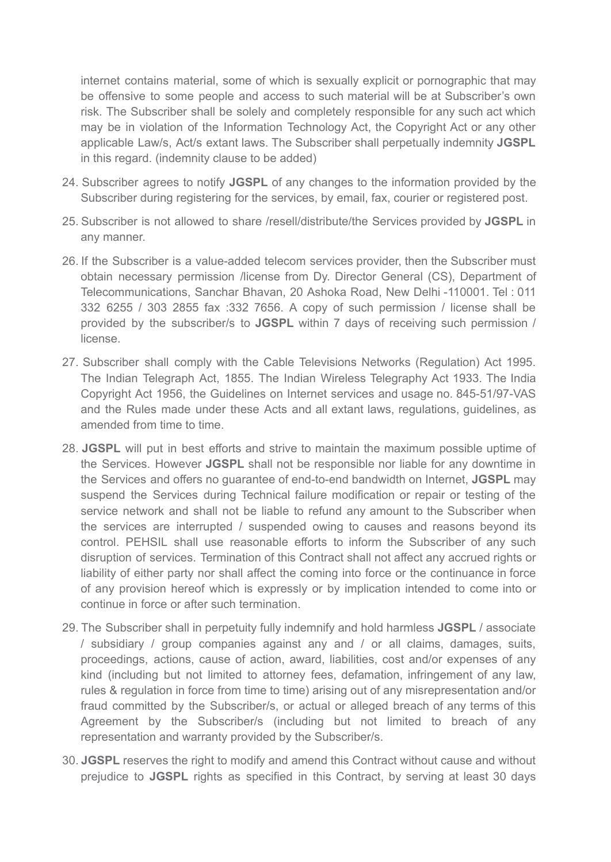internet contains material, some of which is sexually explicit or pornographic that may be offensive to some people and access to such material will be at Subscriber's own risk. The Subscriber shall be solely and completely responsible for any such act which may be in violation of the Information Technology Act, the Copyright Act or any other applicable Law/s, Act/s extant laws. The Subscriber shall perpetually indemnity **JGSPL** in this regard. (indemnity clause to be added)

- 24. Subscriber agrees to notify **JGSPL** of any changes to the information provided by the Subscriber during registering for the services, by email, fax, courier or registered post.
- 25. Subscriber is not allowed to share /resell/distribute/the Services provided by **JGSPL** in any manner.
- 26. If the Subscriber is a value-added telecom services provider, then the Subscriber must obtain necessary permission /license from Dy. Director General (CS), Department of Telecommunications, Sanchar Bhavan, 20 Ashoka Road, New Delhi -110001. Tel : 011 332 6255 / 303 2855 fax :332 7656. A copy of such permission / license shall be provided by the subscriber/s to **JGSPL** within 7 days of receiving such permission / license.
- 27. Subscriber shall comply with the Cable Televisions Networks (Regulation) Act 1995. The Indian Telegraph Act, 1855. The Indian Wireless Telegraphy Act 1933. The India Copyright Act 1956, the Guidelines on Internet services and usage no. 845-51/97-VAS and the Rules made under these Acts and all extant laws, regulations, guidelines, as amended from time to time.
- 28. **JGSPL** will put in best efforts and strive to maintain the maximum possible uptime of the Services. However **JGSPL** shall not be responsible nor liable for any downtime in the Services and offers no guarantee of end-to-end bandwidth on Internet, **JGSPL** may suspend the Services during Technical failure modification or repair or testing of the service network and shall not be liable to refund any amount to the Subscriber when the services are interrupted / suspended owing to causes and reasons beyond its control. PEHSIL shall use reasonable efforts to inform the Subscriber of any such disruption of services. Termination of this Contract shall not affect any accrued rights or liability of either party nor shall affect the coming into force or the continuance in force of any provision hereof which is expressly or by implication intended to come into or continue in force or after such termination.
- 29. The Subscriber shall in perpetuity fully indemnify and hold harmless **JGSPL** / associate / subsidiary / group companies against any and / or all claims, damages, suits, proceedings, actions, cause of action, award, liabilities, cost and/or expenses of any kind (including but not limited to attorney fees, defamation, infringement of any law, rules & regulation in force from time to time) arising out of any misrepresentation and/or fraud committed by the Subscriber/s, or actual or alleged breach of any terms of this Agreement by the Subscriber/s (including but not limited to breach of any representation and warranty provided by the Subscriber/s.
- 30. **JGSPL** reserves the right to modify and amend this Contract without cause and without prejudice to **JGSPL** rights as specified in this Contract, by serving at least 30 days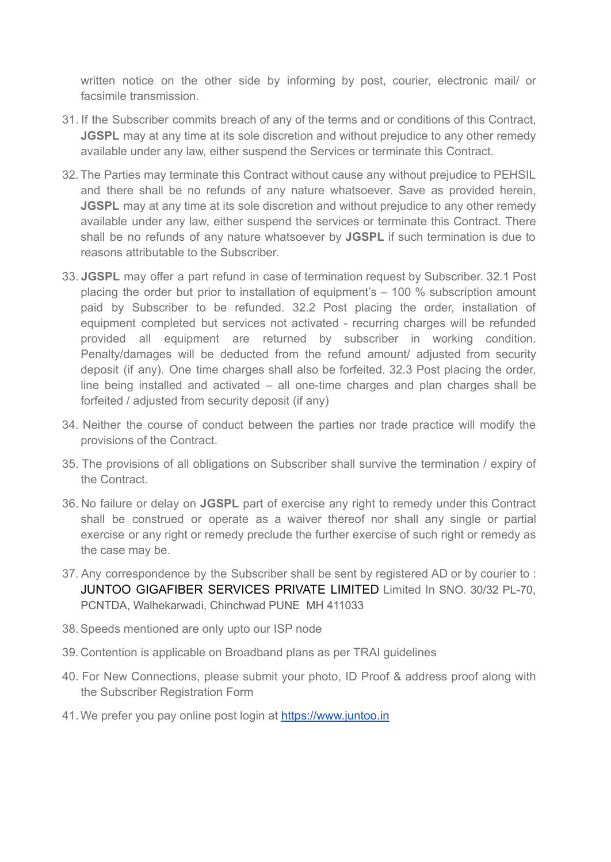written notice on the other side by informing by post, courier, electronic mail/ or facsimile transmission.

- 31. If the Subscriber commits breach of any of the terms and or conditions of this Contract, **JGSPL** may at any time at its sole discretion and without prejudice to any other remedy available under any law, either suspend the Services or terminate this Contract.
- 32. The Parties may terminate this Contract without cause any without prejudice to PEHSIL and there shall be no refunds of any nature whatsoever. Save as provided herein, **JGSPL** may at any time at its sole discretion and without prejudice to any other remedy available under any law, either suspend the services or terminate this Contract. There shall be no refunds of any nature whatsoever by **JGSPL** if such termination is due to reasons attributable to the Subscriber.
- 33. **JGSPL** may offer a part refund in case of termination request by Subscriber. 32.1 Post placing the order but prior to installation of equipment's – 100 % subscription amount paid by Subscriber to be refunded. 32.2 Post placing the order, installation of equipment completed but services not activated - recurring charges will be refunded provided all equipment are returned by subscriber in working condition. Penalty/damages will be deducted from the refund amount/ adjusted from security deposit (if any). One time charges shall also be forfeited. 32.3 Post placing the order, line being installed and activated – all one-time charges and plan charges shall be forfeited / adjusted from security deposit (if any)
- 34. Neither the course of conduct between the parties nor trade practice will modify the provisions of the Contract.
- 35. The provisions of all obligations on Subscriber shall survive the termination / expiry of the Contract.
- 36. No failure or delay on **JGSPL** part of exercise any right to remedy under this Contract shall be construed or operate as a waiver thereof nor shall any single or partial exercise or any right or remedy preclude the further exercise of such right or remedy as the case may be.
- 37. Any correspondence by the Subscriber shall be sent by registered AD or by courier to : JUNTOO GIGAFIBER SERVICES PRIVATE LIMITED Limited In SNO. 30/32 PL-70, PCNTDA, Walhekarwadi, Chinchwad PUNE MH 411033
- 38.Speeds mentioned are only upto our ISP node
- 39. Contention is applicable on Broadband plans as per TRAI guidelines
- 40. For New Connections, please submit your photo, ID Proof & address proof along with the Subscriber Registration Form
- 41. We prefer you pay online post login at [https://www.juntoo.in](https://www.juntoo.in/)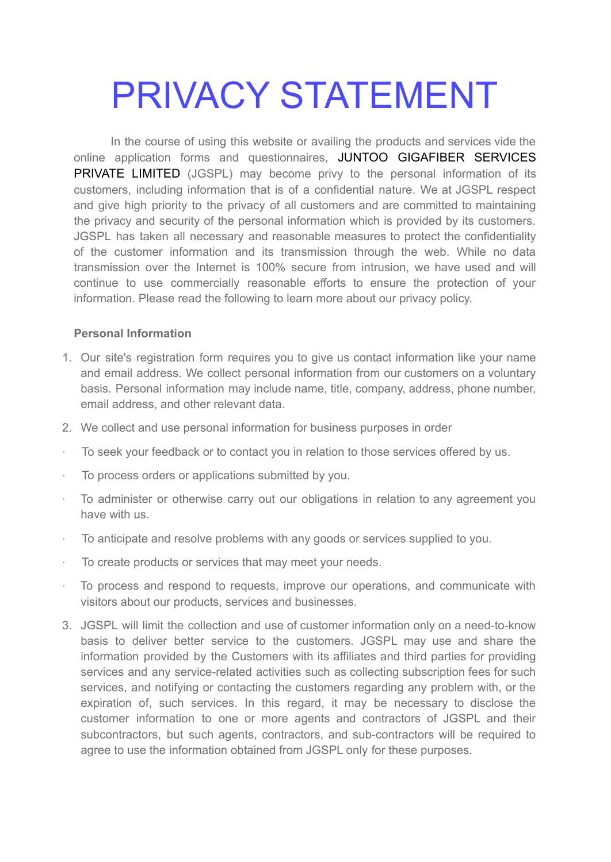## PRIVACY STATEMENT

In the course of using this website or availing the products and services vide the online application forms and questionnaires, JUNTOO GIGAFIBER SERVICES PRIVATE LIMITED (JGSPL) may become privy to the personal information of its customers, including information that is of a confidential nature. We at JGSPL respect and give high priority to the privacy of all customers and are committed to maintaining the privacy and security of the personal information which is provided by its customers. JGSPL has taken all necessary and reasonable measures to protect the confidentiality of the customer information and its transmission through the web. While no data transmission over the Internet is 100% secure from intrusion, we have used and will continue to use commercially reasonable efforts to ensure the protection of your information. Please read the following to learn more about our privacy policy.

### **Personal Information**

- 1. Our site's registration form requires you to give us contact information like your name and email address. We collect personal information from our customers on a voluntary basis. Personal information may include name, title, company, address, phone number, email address, and other relevant data.
- 2. We collect and use personal information for business purposes in order
- To seek your feedback or to contact you in relation to those services offered by us.
- · To process orders or applications submitted by you.
- · To administer or otherwise carry out our obligations in relation to any agreement you have with us.
- · To anticipate and resolve problems with any goods or services supplied to you.
- · To create products or services that may meet your needs.
- · To process and respond to requests, improve our operations, and communicate with visitors about our products, services and businesses.
- 3. JGSPL will limit the collection and use of customer information only on a need-to-know basis to deliver better service to the customers. JGSPL may use and share the information provided by the Customers with its affiliates and third parties for providing services and any service-related activities such as collecting subscription fees for such services, and notifying or contacting the customers regarding any problem with, or the expiration of, such services. In this regard, it may be necessary to disclose the customer information to one or more agents and contractors of JGSPL and their subcontractors, but such agents, contractors, and sub-contractors will be required to agree to use the information obtained from JGSPL only for these purposes.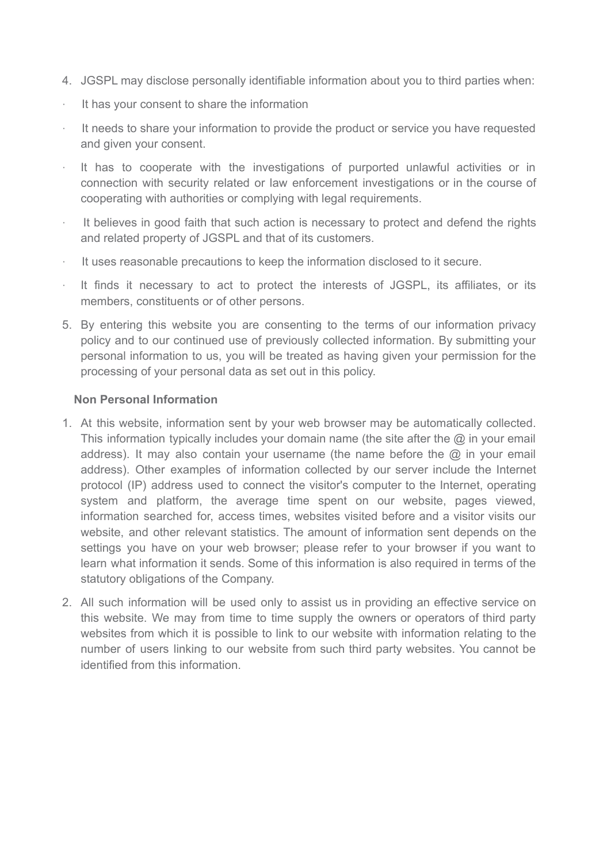- 4. JGSPL may disclose personally identifiable information about you to third parties when:
- It has your consent to share the information
- · It needs to share your information to provide the product or service you have requested and given your consent.
- It has to cooperate with the investigations of purported unlawful activities or in connection with security related or law enforcement investigations or in the course of cooperating with authorities or complying with legal requirements.
- · It believes in good faith that such action is necessary to protect and defend the rights and related property of JGSPL and that of its customers.
- · It uses reasonable precautions to keep the information disclosed to it secure.
- It finds it necessary to act to protect the interests of JGSPL, its affiliates, or its members, constituents or of other persons.
- 5. By entering this website you are consenting to the terms of our information privacy policy and to our continued use of previously collected information. By submitting your personal information to us, you will be treated as having given your permission for the processing of your personal data as set out in this policy.

### **Non Personal Information**

- 1. At this website, information sent by your web browser may be automatically collected. This information typically includes your domain name (the site after the  $\omega$  in your email address). It may also contain your username (the name before the  $\omega$  in your email address). Other examples of information collected by our server include the Internet protocol (IP) address used to connect the visitor's computer to the Internet, operating system and platform, the average time spent on our website, pages viewed, information searched for, access times, websites visited before and a visitor visits our website, and other relevant statistics. The amount of information sent depends on the settings you have on your web browser; please refer to your browser if you want to learn what information it sends. Some of this information is also required in terms of the statutory obligations of the Company.
- 2. All such information will be used only to assist us in providing an effective service on this website. We may from time to time supply the owners or operators of third party websites from which it is possible to link to our website with information relating to the number of users linking to our website from such third party websites. You cannot be identified from this information.